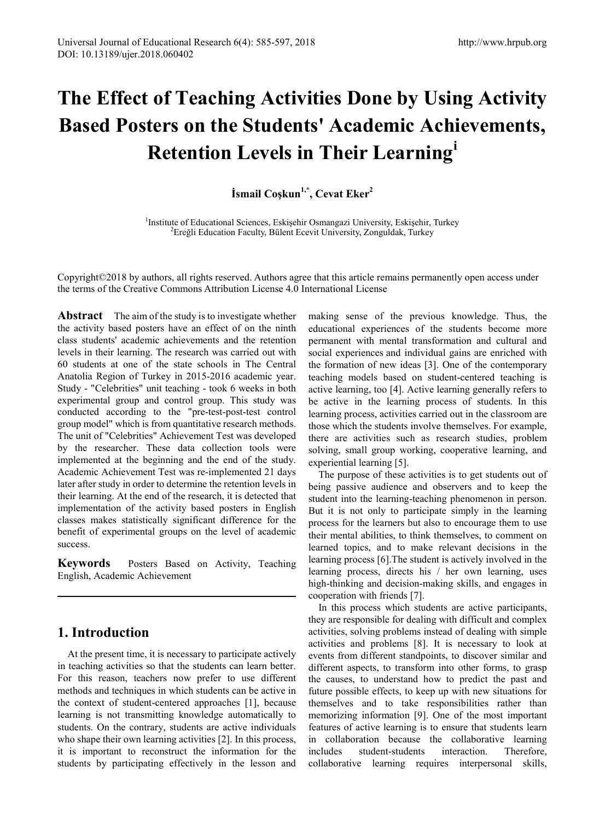# **The Effect of Teaching Activities Done by Using Activity Based Posters on the Students' Academic Achievements, Retention Levels in Their Learning[i](#page-12-0)**

**İsmail Coşkun1,\*, Cevat Eker<sup>2</sup>**

<sup>1</sup>Institute of Educational Sciences, Eskişehir Osmangazi University, Eskişehir, Turkey  $\frac{2 \text{E}_\text{re}}{2 \text{E}_\text{re}}$ <sup>2</sup> Ereğli Education Faculty, Bülent Ecevit University, Zonguldak, Turkey

Copyright©2018 by authors, all rights reserved. Authors agree that this article remains permanently open access under the terms of the Creative Commons Attribution License 4.0 International License

**Abstract** The aim of the study is to investigate whether the activity based posters have an effect of on the ninth class students' academic achievements and the retention levels in their learning. The research was carried out with 60 students at one of the state schools in The Central Anatolia Region of Turkey in 2015-2016 academic year. Study - "Celebrities" unit teaching - took 6 weeks in both experimental group and control group. This study was conducted according to the "pre-test-post-test control group model" which is from quantitative research methods. The unit of "Celebrities" Achievement Test was developed by the researcher. These data collection tools were implemented at the beginning and the end of the study. Academic Achievement Test was re-implemented 21 days later after study in order to determine the retention levels in their learning. At the end of the research, it is detected that implementation of the activity based posters in English classes makes statistically significant difference for the benefit of experimental groups on the level of academic success.

**Keywords** Posters Based on Activity, Teaching English, Academic Achievement

# **1. Introduction**

At the present time, it is necessary to participate actively in teaching activities so that the students can learn better. For this reason, teachers now prefer to use different methods and techniques in which students can be active in the context of student-centered approaches [1], because learning is not transmitting knowledge automatically to students. On the contrary, students are active individuals who shape their own learning activities [2]. In this process, it is important to reconstruct the information for the students by participating effectively in the lesson and

making sense of the previous knowledge. Thus, the educational experiences of the students become more permanent with mental transformation and cultural and social experiences and individual gains are enriched with the formation of new ideas [3]. One of the contemporary teaching models based on student-centered teaching is active learning, too [4]. Active learning generally refers to be active in the learning process of students. In this learning process, activities carried out in the classroom are those which the students involve themselves. For example, there are activities such as research studies, problem solving, small group working, cooperative learning, and experiential learning [5].

The purpose of these activities is to get students out of being passive audience and observers and to keep the student into the learning-teaching phenomenon in person. But it is not only to participate simply in the learning process for the learners but also to encourage them to use their mental abilities, to think themselves, to comment on learned topics, and to make relevant decisions in the learning process [6].The student is actively involved in the learning process, directs his / her own learning, uses high-thinking and decision-making skills, and engages in cooperation with friends [7].

In this process which students are active participants, they are responsible for dealing with difficult and complex activities, solving problems instead of dealing with simple activities and problems [8]. It is necessary to look at events from different standpoints, to discover similar and different aspects, to transform into other forms, to grasp the causes, to understand how to predict the past and future possible effects, to keep up with new situations for themselves and to take responsibilities rather than memorizing information [9]. One of the most important features of active learning is to ensure that students learn in collaboration because the collaborative learning includes student-students interaction. Therefore, collaborative learning requires interpersonal skills,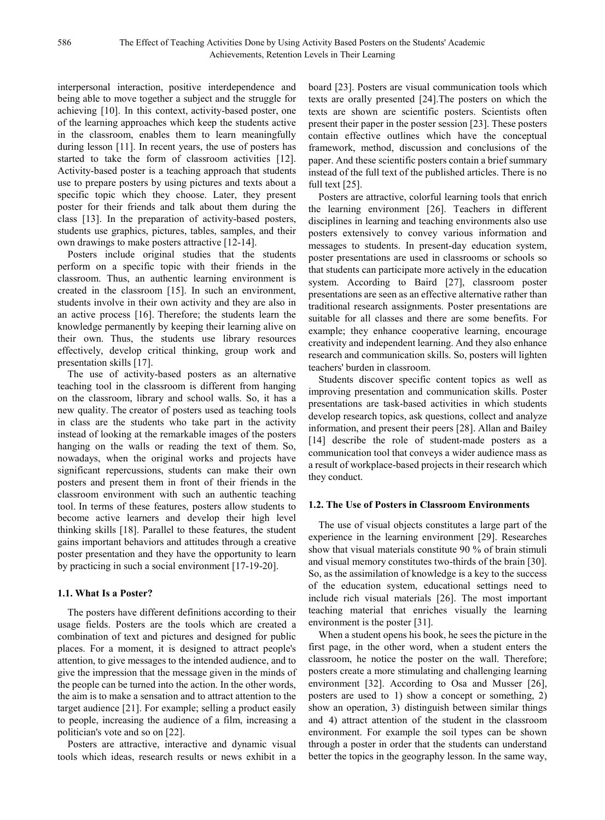interpersonal interaction, positive interdependence and being able to move together a subject and the struggle for achieving [10]. In this context, activity-based poster, one of the learning approaches which keep the students active in the classroom, enables them to learn meaningfully during lesson [11]. In recent years, the use of posters has started to take the form of classroom activities [12]. Activity-based poster is a teaching approach that students use to prepare posters by using pictures and texts about a specific topic which they choose. Later, they present poster for their friends and talk about them during the class [13]. In the preparation of activity-based posters, students use graphics, pictures, tables, samples, and their own drawings to make posters attractive [12-14].

Posters include original studies that the students perform on a specific topic with their friends in the classroom. Thus, an authentic learning environment is created in the classroom [15]. In such an environment, students involve in their own activity and they are also in an active process [16]. Therefore; the students learn the knowledge permanently by keeping their learning alive on their own. Thus, the students use library resources effectively, develop critical thinking, group work and presentation skills [17].

The use of activity-based posters as an alternative teaching tool in the classroom is different from hanging on the classroom, library and school walls. So, it has a new quality. The creator of posters used as teaching tools in class are the students who take part in the activity instead of looking at the remarkable images of the posters hanging on the walls or reading the text of them. So, nowadays, when the original works and projects have significant repercussions, students can make their own posters and present them in front of their friends in the classroom environment with such an authentic teaching tool. In terms of these features, posters allow students to become active learners and develop their high level thinking skills [18]. Parallel to these features, the student gains important behaviors and attitudes through a creative poster presentation and they have the opportunity to learn by practicing in such a social environment [17-19-20].

#### **1.1. What Is a Poster?**

The posters have different definitions according to their usage fields. Posters are the tools which are created a combination of text and pictures and designed for public places. For a moment, it is designed to attract people's attention, to give messages to the intended audience, and to give the impression that the message given in the minds of the people can be turned into the action. In the other words, the aim is to make a sensation and to attract attention to the target audience [21]. For example; selling a product easily to people, increasing the audience of a film, increasing a politician's vote and so on [22].

Posters are attractive, interactive and dynamic visual tools which ideas, research results or news exhibit in a board [23]. Posters are visual communication tools which texts are orally presented [24].The posters on which the texts are shown are scientific posters. Scientists often present their paper in the poster session [23]. These posters contain effective outlines which have the conceptual framework, method, discussion and conclusions of the paper. And these scientific posters contain a brief summary instead of the full text of the published articles. There is no full text [25].

Posters are attractive, colorful learning tools that enrich the learning environment [26]. Teachers in different disciplines in learning and teaching environments also use posters extensively to convey various information and messages to students. In present-day education system, poster presentations are used in classrooms or schools so that students can participate more actively in the education system. According to Baird [27], classroom poster presentations are seen as an effective alternative rather than traditional research assignments. Poster presentations are suitable for all classes and there are some benefits. For example; they enhance cooperative learning, encourage creativity and independent learning. And they also enhance research and communication skills. So, posters will lighten teachers' burden in classroom.

Students discover specific content topics as well as improving presentation and communication skills. Poster presentations are task-based activities in which students develop research topics, ask questions, collect and analyze information, and present their peers [28]. Allan and Bailey [14] describe the role of student-made posters as a communication tool that conveys a wider audience mass as a result of workplace-based projects in their research which they conduct.

#### **1.2. The Use of Posters in Classroom Environments**

The use of visual objects constitutes a large part of the experience in the learning environment [29]. Researches show that visual materials constitute 90 % of brain stimuli and visual memory constitutes two-thirds of the brain [30]. So, as the assimilation of knowledge is a key to the success of the education system, educational settings need to include rich visual materials [26]. The most important teaching material that enriches visually the learning environment is the poster [31].

When a student opens his book, he sees the picture in the first page, in the other word, when a student enters the classroom, he notice the poster on the wall. Therefore; posters create a more stimulating and challenging learning environment [32]. According to Osa and Musser [26], posters are used to 1) show a concept or something, 2) show an operation, 3) distinguish between similar things and 4) attract attention of the student in the classroom environment. For example the soil types can be shown through a poster in order that the students can understand better the topics in the geography lesson. In the same way,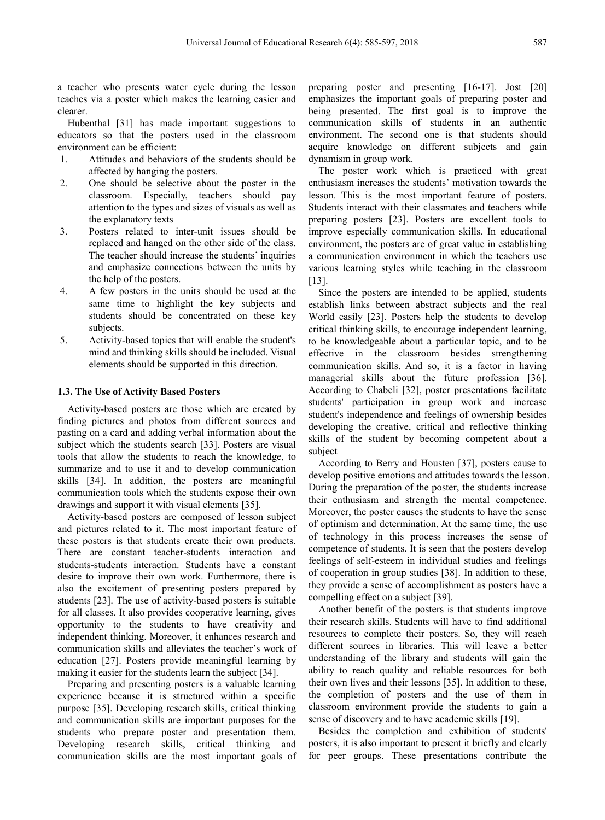a teacher who presents water cycle during the lesson teaches via a poster which makes the learning easier and clearer.

Hubenthal [31] has made important suggestions to educators so that the posters used in the classroom environment can be efficient:

- 1. Attitudes and behaviors of the students should be affected by hanging the posters.
- 2. One should be selective about the poster in the classroom. Especially, teachers should pay attention to the types and sizes of visuals as well as the explanatory texts
- 3. Posters related to inter-unit issues should be replaced and hanged on the other side of the class. The teacher should increase the students' inquiries and emphasize connections between the units by the help of the posters.
- 4. A few posters in the units should be used at the same time to highlight the key subjects and students should be concentrated on these key subjects.
- 5. Activity-based topics that will enable the student's mind and thinking skills should be included. Visual elements should be supported in this direction.

#### **1.3. The Use of Activity Based Posters**

Activity-based posters are those which are created by finding pictures and photos from different sources and pasting on a card and adding verbal information about the subject which the students search [33]. Posters are visual tools that allow the students to reach the knowledge, to summarize and to use it and to develop communication skills [34]. In addition, the posters are meaningful communication tools which the students expose their own drawings and support it with visual elements [35].

Activity-based posters are composed of lesson subject and pictures related to it. The most important feature of these posters is that students create their own products. There are constant teacher-students interaction and students-students interaction. Students have a constant desire to improve their own work. Furthermore, there is also the excitement of presenting posters prepared by students [23]. The use of activity-based posters is suitable for all classes. It also provides cooperative learning, gives opportunity to the students to have creativity and independent thinking. Moreover, it enhances research and communication skills and alleviates the teacher's work of education [27]. Posters provide meaningful learning by making it easier for the students learn the subject [34].

Preparing and presenting posters is a valuable learning experience because it is structured within a specific purpose [35]. Developing research skills, critical thinking and communication skills are important purposes for the students who prepare poster and presentation them. Developing research skills, critical thinking and communication skills are the most important goals of preparing poster and presenting [16-17]. Jost [20] emphasizes the important goals of preparing poster and being presented. The first goal is to improve the communication skills of students in an authentic environment. The second one is that students should acquire knowledge on different subjects and gain dynamism in group work.

The poster work which is practiced with great enthusiasm increases the students' motivation towards the lesson. This is the most important feature of posters. Students interact with their classmates and teachers while preparing posters [23]. Posters are excellent tools to improve especially communication skills. In educational environment, the posters are of great value in establishing a communication environment in which the teachers use various learning styles while teaching in the classroom [13].

Since the posters are intended to be applied, students establish links between abstract subjects and the real World easily [23]. Posters help the students to develop critical thinking skills, to encourage independent learning, to be knowledgeable about a particular topic, and to be effective in the classroom besides strengthening communication skills. And so, it is a factor in having managerial skills about the future profession [36]. According to Chabeli [32], poster presentations facilitate students' participation in group work and increase student's independence and feelings of ownership besides developing the creative, critical and reflective thinking skills of the student by becoming competent about a subject

According to Berry and Housten [37], posters cause to develop positive emotions and attitudes towards the lesson. During the preparation of the poster, the students increase their enthusiasm and strength the mental competence. Moreover, the poster causes the students to have the sense of optimism and determination. At the same time, the use of technology in this process increases the sense of competence of students. It is seen that the posters develop feelings of self-esteem in individual studies and feelings of cooperation in group studies [38]. In addition to these, they provide a sense of accomplishment as posters have a compelling effect on a subject [39].

Another benefit of the posters is that students improve their research skills. Students will have to find additional resources to complete their posters. So, they will reach different sources in libraries. This will leave a better understanding of the library and students will gain the ability to reach quality and reliable resources for both their own lives and their lessons [35]. In addition to these, the completion of posters and the use of them in classroom environment provide the students to gain a sense of discovery and to have academic skills [19].

Besides the completion and exhibition of students' posters, it is also important to present it briefly and clearly for peer groups. These presentations contribute the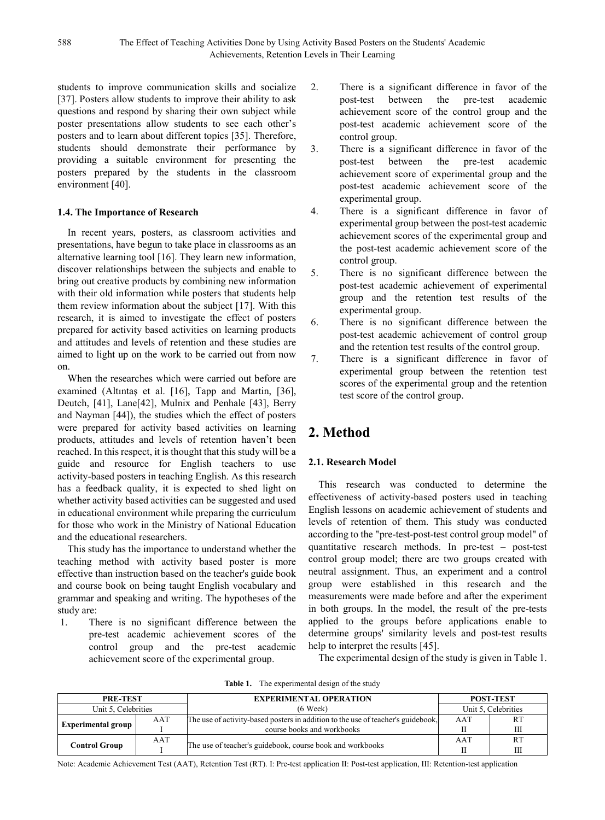students to improve communication skills and socialize [37]. Posters allow students to improve their ability to ask questions and respond by sharing their own subject while poster presentations allow students to see each other's posters and to learn about different topics [35]. Therefore, students should demonstrate their performance by providing a suitable environment for presenting the posters prepared by the students in the classroom environment [40].

#### **1.4. The Importance of Research**

In recent years, posters, as classroom activities and presentations, have begun to take place in classrooms as an alternative learning tool [16]. They learn new information, discover relationships between the subjects and enable to bring out creative products by combining new information with their old information while posters that students help them review information about the subject [17]. With this research, it is aimed to investigate the effect of posters prepared for activity based activities on learning products and attitudes and levels of retention and these studies are aimed to light up on the work to be carried out from now on.

When the researches which were carried out before are examined (Altıntaş et al. [16], Tapp and Martin, [36], Deutch, [41], Lane[42], Mulnix and Penhale [43], Berry and Nayman [44]), the studies which the effect of posters were prepared for activity based activities on learning products, attitudes and levels of retention haven't been reached. In this respect, it is thought that this study will be a guide and resource for English teachers to use activity-based posters in teaching English. As this research has a feedback quality, it is expected to shed light on whether activity based activities can be suggested and used in educational environment while preparing the curriculum for those who work in the Ministry of National Education and the educational researchers.

This study has the importance to understand whether the teaching method with activity based poster is more effective than instruction based on the teacher's guide book and course book on being taught English vocabulary and grammar and speaking and writing. The hypotheses of the study are:

1. There is no significant difference between the pre-test academic achievement scores of the control group and the pre-test academic achievement score of the experimental group.

- 2. There is a significant difference in favor of the post-test between the pre-test academic achievement score of the control group and the post-test academic achievement score of the control group.
- 3. There is a significant difference in favor of the post-test between the pre-test academic achievement score of experimental group and the post-test academic achievement score of the experimental group.
- 4. There is a significant difference in favor of experimental group between the post-test academic achievement scores of the experimental group and the post-test academic achievement score of the control group.
- 5. There is no significant difference between the post-test academic achievement of experimental group and the retention test results of the experimental group.
- 6. There is no significant difference between the post-test academic achievement of control group and the retention test results of the control group.
- 7. There is a significant difference in favor of experimental group between the retention test scores of the experimental group and the retention test score of the control group.

# **2. Method**

### **2.1. Research Model**

This research was conducted to determine the effectiveness of activity-based posters used in teaching English lessons on academic achievement of students and levels of retention of them. This study was conducted according to the "pre-test-post-test control group model" of quantitative research methods. In pre-test – post-test control group model; there are two groups created with neutral assignment. Thus, an experiment and a control group were established in this research and the measurements were made before and after the experiment in both groups. In the model, the result of the pre-tests applied to the groups before applications enable to determine groups' similarity levels and post-test results help to interpret the results [45].

The experimental design of the study is given in Table 1.

| <b>PRE-TEST</b>           |     | <b>EXPERIMENTAL OPERATION</b>                                                    | <b>POST-TEST</b>    |           |  |
|---------------------------|-----|----------------------------------------------------------------------------------|---------------------|-----------|--|
| Unit 5, Celebrities       |     | $(6$ Week $)$                                                                    | Unit 5. Celebrities |           |  |
|                           | AAT | The use of activity-based posters in addition to the use of teacher's guidebook, | AAT                 | <b>RT</b> |  |
| <b>Experimental group</b> |     | course books and workbooks                                                       |                     | Ш         |  |
| <b>Control Group</b>      | AAT |                                                                                  | AAT                 | <b>RT</b> |  |
|                           |     | The use of teacher's guidebook, course book and workbooks                        | П                   | Ш         |  |

**Table 1.** The experimental design of the study

Note: Academic Achievement Test (AAT), Retention Test (RT). I: Pre-test application II: Post-test application, III: Retention-test application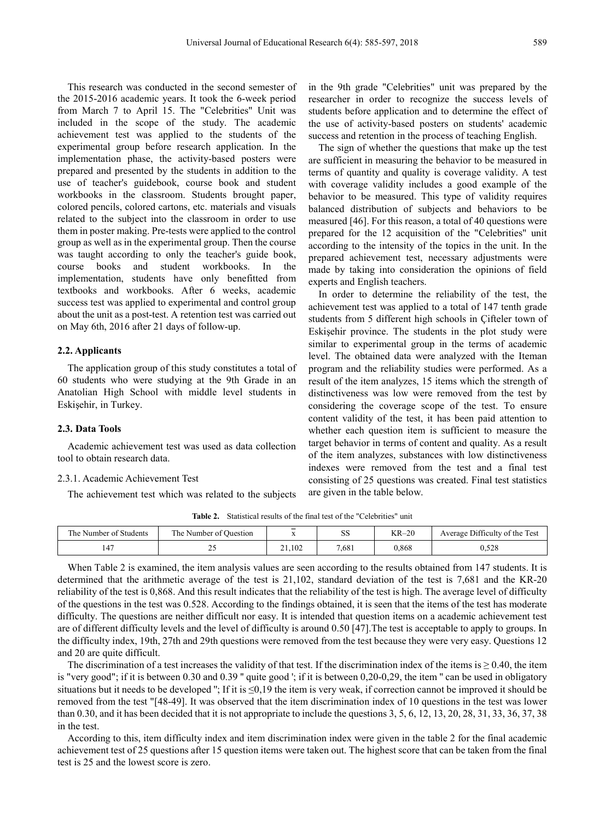This research was conducted in the second semester of the 2015-2016 academic years. It took the 6-week period from March 7 to April 15. The "Celebrities" Unit was included in the scope of the study. The academic achievement test was applied to the students of the experimental group before research application. In the implementation phase, the activity-based posters were prepared and presented by the students in addition to the use of teacher's guidebook, course book and student workbooks in the classroom. Students brought paper, colored pencils, colored cartons, etc. materials and visuals related to the subject into the classroom in order to use them in poster making. Pre-tests were applied to the control group as well as in the experimental group. Then the course was taught according to only the teacher's guide book, course books and student workbooks. In the implementation, students have only benefitted from textbooks and workbooks. After 6 weeks, academic success test was applied to experimental and control group about the unit as a post-test. A retention test was carried out on May 6th, 2016 after 21 days of follow-up.

#### **2.2. Applicants**

The application group of this study constitutes a total of 60 students who were studying at the 9th Grade in an Anatolian High School with middle level students in Eskişehir, in Turkey.

#### **2.3. Data Tools**

Academic achievement test was used as data collection tool to obtain research data.

#### 2.3.1. Academic Achievement Test

The achievement test which was related to the subjects

in the 9th grade "Celebrities" unit was prepared by the researcher in order to recognize the success levels of students before application and to determine the effect of the use of activity-based posters on students' academic success and retention in the process of teaching English.

The sign of whether the questions that make up the test are sufficient in measuring the behavior to be measured in terms of quantity and quality is coverage validity. A test with coverage validity includes a good example of the behavior to be measured. This type of validity requires balanced distribution of subjects and behaviors to be measured [46]. For this reason, a total of 40 questions were prepared for the 12 acquisition of the "Celebrities" unit according to the intensity of the topics in the unit. In the prepared achievement test, necessary adjustments were made by taking into consideration the opinions of field experts and English teachers.

In order to determine the reliability of the test, the achievement test was applied to a total of 147 tenth grade students from 5 different high schools in Çifteler town of Eskişehir province. The students in the plot study were similar to experimental group in the terms of academic level. The obtained data were analyzed with the Iteman program and the reliability studies were performed. As a result of the item analyzes, 15 items which the strength of distinctiveness was low were removed from the test by considering the coverage scope of the test. To ensure content validity of the test, it has been paid attention to whether each question item is sufficient to measure the target behavior in terms of content and quality. As a result of the item analyzes, substances with low distinctiveness indexes were removed from the test and a final test consisting of 25 questions was created. Final test statistics are given in the table below.

Table 2. Statistical results of the final test of the "Celebrities" unit

| The Number of Students | The Number of Question | $\overline{\phantom{a}}$ | $\sim$ $\sim$<br>ນມ | $KR-20$ | Average Difficulty of the Test |
|------------------------|------------------------|--------------------------|---------------------|---------|--------------------------------|
| $\overline{a}$<br>147  | ب سه                   | 21,102                   | 7,681               | 0,868   | 0,528                          |

When Table 2 is examined, the item analysis values are seen according to the results obtained from 147 students. It is determined that the arithmetic average of the test is 21,102, standard deviation of the test is 7,681 and the KR-20 reliability of the test is 0,868. And this result indicates that the reliability of the test is high. The average level of difficulty of the questions in the test was 0.528. According to the findings obtained, it is seen that the items of the test has moderate difficulty. The questions are neither difficult nor easy. It is intended that question items on a academic achievement test are of different difficulty levels and the level of difficulty is around 0.50 [47].The test is acceptable to apply to groups. In the difficulty index, 19th, 27th and 29th questions were removed from the test because they were very easy. Questions 12 and 20 are quite difficult.

The discrimination of a test increases the validity of that test. If the discrimination index of the items is  $\geq 0.40$ , the item is "very good"; if it is between 0.30 and 0.39" quite good '; if it is between 0,20-0,29, the item " can be used in obligatory situations but it needs to be developed "; If it is  $\leq 0.19$  the item is very weak, if correction cannot be improved it should be removed from the test "[48-49]. It was observed that the item discrimination index of 10 questions in the test was lower than 0.30, and it has been decided that it is not appropriate to include the questions 3, 5, 6, 12, 13, 20, 28, 31, 33, 36, 37, 38 in the test.

According to this, item difficulty index and item discrimination index were given in the table 2 for the final academic achievement test of 25 questions after 15 question items were taken out. The highest score that can be taken from the final test is 25 and the lowest score is zero.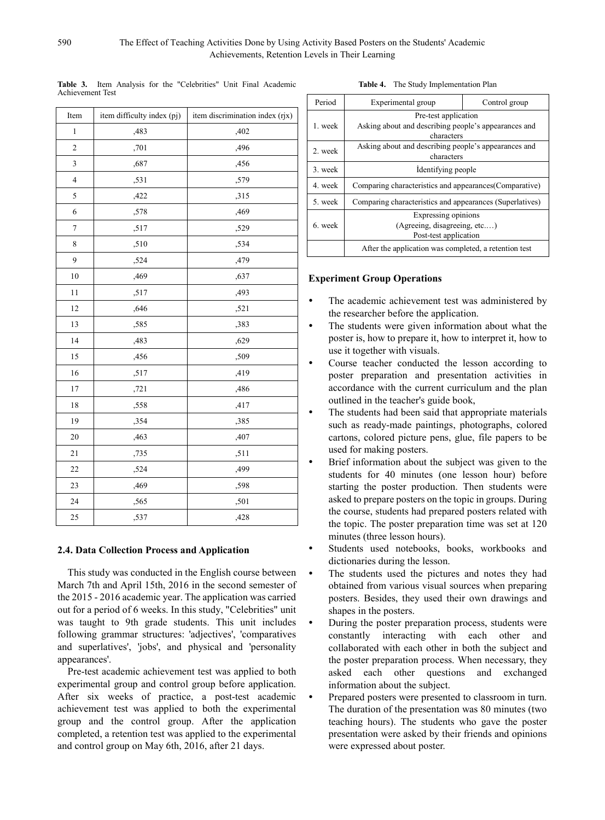| Item             | item difficulty index (pj) | item discrimination index (rjx) |
|------------------|----------------------------|---------------------------------|
| $\mathbf{1}$     | ,483                       | ,402                            |
| $\overline{c}$   | ,701                       | ,496                            |
| 3                | ,687                       | ,456                            |
| $\overline{4}$   | ,531                       | ,579                            |
| 5                | ,422                       | ,315                            |
| $\boldsymbol{6}$ | ,578                       | ,469                            |
| $\tau$           | ,517                       | ,529                            |
| 8                | ,510                       | ,534                            |
| 9                | ,524                       | ,479                            |
| 10               | ,469                       | ,637                            |
| 11               | ,517                       | ,493                            |
| 12               | ,646                       | ,521                            |
| 13               | ,585                       | ,383                            |
| 14               | ,483                       | ,629                            |
| 15               | ,456                       | ,509                            |
| 16               | ,517                       | ,419                            |
| 17               | ,721                       | ,486                            |
| 18               | ,558                       | ,417                            |
| 19               | ,354                       | ,385                            |
| 20               | ,463                       | ,407                            |
| 21               | ,735                       | ,511                            |
| 22               | ,524                       | ,499                            |
| 23               | ,469                       | ,598                            |
| 24               | ,565                       | ,501                            |
| 25               | ,537                       | ,428                            |

**Table 3.** Item Analysis for the "Celebrities" Unit Final Academic Achievement Test

#### **2.4. Data Collection Process and Application**

This study was conducted in the English course between March 7th and April 15th, 2016 in the second semester of the 2015 - 2016 academic year. The application was carried out for a period of 6 weeks. In this study, "Celebrities" unit was taught to 9th grade students. This unit includes following grammar structures: 'adjectives', 'comparatives and superlatives', 'jobs', and physical and 'personality appearances'.

Pre-test academic achievement test was applied to both experimental group and control group before application. After six weeks of practice, a post-test academic achievement test was applied to both the experimental group and the control group. After the application completed, a retention test was applied to the experimental and control group on May 6th, 2016, after 21 days.

| Table 4. |  | The Study Implementation Plan |  |
|----------|--|-------------------------------|--|
|          |  |                               |  |

| Period  | Experimental group                                                            | Control group |  |  |  |  |  |  |
|---------|-------------------------------------------------------------------------------|---------------|--|--|--|--|--|--|
|         | Pre-test application                                                          |               |  |  |  |  |  |  |
|         | Asking about and describing people's appearances and<br>1. week<br>characters |               |  |  |  |  |  |  |
| 2. week | Asking about and describing people's appearances and<br>characters            |               |  |  |  |  |  |  |
| 3. week | Identifying people                                                            |               |  |  |  |  |  |  |
| 4 week  | Comparing characteristics and appearances (Comparative)                       |               |  |  |  |  |  |  |
| 5. week | Comparing characteristics and appearances (Superlatives)                      |               |  |  |  |  |  |  |
|         | Expressing opinions                                                           |               |  |  |  |  |  |  |
| 6. week | (Agreeing, disagreeing, etc)                                                  |               |  |  |  |  |  |  |
|         | Post-test application                                                         |               |  |  |  |  |  |  |
|         | After the application was completed, a retention test                         |               |  |  |  |  |  |  |

#### **Experiment Group Operations**

- The academic achievement test was administered by the researcher before the application.
- The students were given information about what the poster is, how to prepare it, how to interpret it, how to use it together with visuals.
- Course teacher conducted the lesson according to poster preparation and presentation activities in accordance with the current curriculum and the plan outlined in the teacher's guide book,
- The students had been said that appropriate materials such as ready-made paintings, photographs, colored cartons, colored picture pens, glue, file papers to be used for making posters.
- Brief information about the subject was given to the students for 40 minutes (one lesson hour) before starting the poster production. Then students were asked to prepare posters on the topic in groups. During the course, students had prepared posters related with the topic. The poster preparation time was set at 120 minutes (three lesson hours).
- Students used notebooks, books, workbooks and dictionaries during the lesson.
- The students used the pictures and notes they had obtained from various visual sources when preparing posters. Besides, they used their own drawings and shapes in the posters.
- During the poster preparation process, students were constantly interacting with each other and collaborated with each other in both the subject and the poster preparation process. When necessary, they asked each other questions and exchanged information about the subject.
- Prepared posters were presented to classroom in turn. The duration of the presentation was 80 minutes (two teaching hours). The students who gave the poster presentation were asked by their friends and opinions were expressed about poster.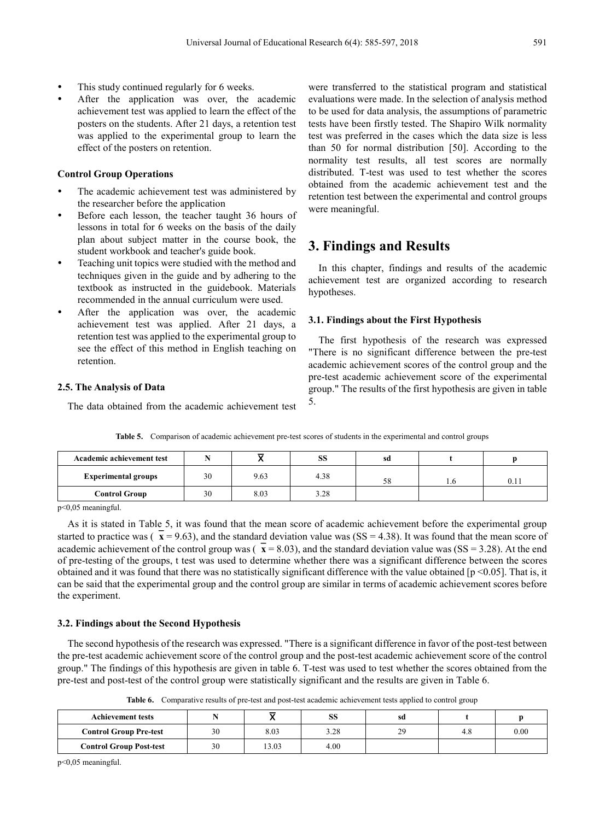- This study continued regularly for 6 weeks.
- After the application was over, the academic achievement test was applied to learn the effect of the posters on the students. After 21 days, a retention test was applied to the experimental group to learn the effect of the posters on retention.

#### **Control Group Operations**

- The academic achievement test was administered by the researcher before the application
- Before each lesson, the teacher taught 36 hours of lessons in total for 6 weeks on the basis of the daily plan about subject matter in the course book, the student workbook and teacher's guide book.
- Teaching unit topics were studied with the method and techniques given in the guide and by adhering to the textbook as instructed in the guidebook. Materials recommended in the annual curriculum were used.
- After the application was over, the academic achievement test was applied. After 21 days, a retention test was applied to the experimental group to see the effect of this method in English teaching on retention.

#### **2.5. The Analysis of Data**

The data obtained from the academic achievement test

were transferred to the statistical program and statistical evaluations were made. In the selection of analysis method to be used for data analysis, the assumptions of parametric tests have been firstly tested. The Shapiro Wilk normality test was preferred in the cases which the data size is less than 50 for normal distribution [50]. According to the normality test results, all test scores are normally distributed. T-test was used to test whether the scores obtained from the academic achievement test and the retention test between the experimental and control groups were meaningful.

## **3. Findings and Results**

In this chapter, findings and results of the academic achievement test are organized according to research hypotheses.

#### **3.1. Findings about the First Hypothesis**

The first hypothesis of the research was expressed "There is no significant difference between the pre-test academic achievement scores of the control group and the pre-test academic achievement score of the experimental group." The results of the first hypothesis are given in table 5.

| Academic achievement test  |    |      | SS   | sa |     |       |
|----------------------------|----|------|------|----|-----|-------|
| <b>Experimental groups</b> | 30 | 9.63 | 4.38 | 58 | 1.0 | v. 11 |
| <b>Control Group</b>       | 30 | 8.03 | 3.28 |    |     |       |

**Table 5.** Comparison of academic achievement pre-test scores of students in the experimental and control groups

p<0,05 meaningful.

As it is stated in Table 5, it was found that the mean score of academic achievement before the experimental group started to practice was  $(\bar{x} = 9.63)$ , and the standard deviation value was  $(SS = 4.38)$ . It was found that the mean score of academic achievement of the control group was  $(\bar{x} = 8.03)$ , and the standard deviation value was (SS = 3.28). At the end of pre-testing of the groups, t test was used to determine whether there was a significant difference between the scores obtained and it was found that there was no statistically significant difference with the value obtained [p <0.05]. That is, it can be said that the experimental group and the control group are similar in terms of academic achievement scores before the experiment.

#### **3.2. Findings about the Second Hypothesis**

The second hypothesis of the research was expressed. "There is a significant difference in favor of the post-test between the pre-test academic achievement score of the control group and the post-test academic achievement score of the control group." The findings of this hypothesis are given in table 6. T-test was used to test whether the scores obtained from the pre-test and post-test of the control group were statistically significant and the results are given in Table 6.

**Table 6.** Comparative results of pre-test and post-test academic achievement tests applied to control group

| <b>Achievement tests</b>       |    |       | SS   | sd |      |
|--------------------------------|----|-------|------|----|------|
| <b>Control Group Pre-test</b>  | 30 | 8.03  | 3.28 | 29 | 0.00 |
| <b>Control Group Post-test</b> | 30 | 13.03 | 4.00 |    |      |

p<0,05 meaningful.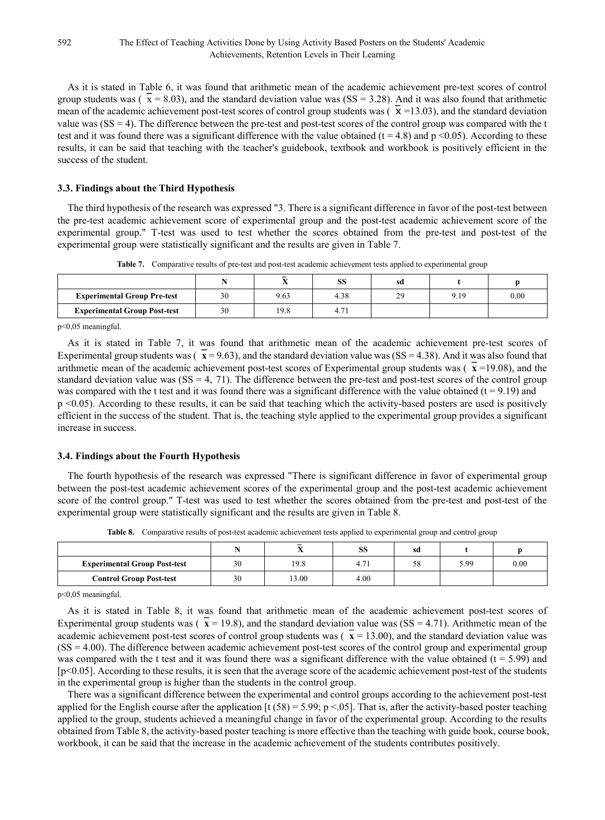As it is stated in Table 6, it was found that arithmetic mean of the academic achievement pre-test scores of control group students was ( $\bar{x} = 8.03$ ), and the standard deviation value was (SS = 3.28). And it was also found that arithmetic mean of the academic achievement post-test scores of control group students was ( $\chi$  =13.03), and the standard deviation value was  $(SS = 4)$ . The difference between the pre-test and post-test scores of the control group was compared with the t test and it was found there was a significant difference with the value obtained ( $t = 4.8$ ) and  $p \le 0.05$ ). According to these results, it can be said that teaching with the teacher's guidebook, textbook and workbook is positively efficient in the success of the student.

#### **3.3. Findings about the Third Hypothesis**

The third hypothesis of the research was expressed "3. There is a significant difference in favor of the post-test between the pre-test academic achievement score of experimental group and the post-test academic achievement score of the experimental group." T-test was used to test whether the scores obtained from the pre-test and post-test of the experimental group were statistically significant and the results are given in Table 7.

|                                     |    | $\overline{\phantom{0}}$ | SS   | sd |      |      |
|-------------------------------------|----|--------------------------|------|----|------|------|
| <b>Experimental Group Pre-test</b>  | 30 | 9.63                     | 4.38 | 29 | 9.19 | 0.00 |
| <b>Experimental Group Post-test</b> | 30 | 19.8                     |      |    |      |      |

**Table 7.** Comparative results of pre-test and post-test academic achievement tests applied to experimental group

p<0,05 meaningful.

As it is stated in Table 7, it was found that arithmetic mean of the academic achievement pre-test scores of Experimental group students was  $(\bar{x} = 9.63)$ , and the standard deviation value was  $(SS = 4.38)$ . And it was also found that arithmetic mean of the academic achievement post-test scores of Experimental group students was  $(\bar{x} = 19.08)$ , and the standard deviation value was  $(SS = 4, 71)$ . The difference between the pre-test and post-test scores of the control group was compared with the t test and it was found there was a significant difference with the value obtained  $(t = 9.19)$  and p <0.05). According to these results, it can be said that teaching which the activity-based posters are used is positively efficient in the success of the student. That is, the teaching style applied to the experimental group provides a significant increase in success.

#### **3.4. Findings about the Fourth Hypothesis**

The fourth hypothesis of the research was expressed "There is significant difference in favor of experimental group between the post-test academic achievement scores of the experimental group and the post-test academic achievement score of the control group." T-test was used to test whether the scores obtained from the pre-test and post-test of the experimental group were statistically significant and the results are given in Table 8.

|                                     |    | $\overline{\phantom{0}}$<br>48 | SS   | sd |      |      |
|-------------------------------------|----|--------------------------------|------|----|------|------|
| <b>Experimental Group Post-test</b> | 30 | 19.8                           | 4.71 | 58 | 5.99 | 0.00 |
| <b>Control Group Post-test</b>      | 30 | 13.00                          | 4.00 |    |      |      |

**Table 8.** Comparative results of post-test academic achievement tests applied to experimental group and control group

p<0,05 meaningful.

As it is stated in Table 8, it was found that arithmetic mean of the academic achievement post-test scores of Experimental group students was ( $\bar{x}$  = 19.8), and the standard deviation value was (SS = 4.71). Arithmetic mean of the academic achievement post-test scores of control group students was  $(\bar{x} = 13.00)$ , and the standard deviation value was  $(SS = 4.00)$ . The difference between academic achievement post-test scores of the control group and experimental group was compared with the t test and it was found there was a significant difference with the value obtained ( $t = 5.99$ ) and [p<0.05]. According to these results, it is seen that the average score of the academic achievement post-test of the students in the experimental group is higher than the students in the control group.

There was a significant difference between the experimental and control groups according to the achievement post-test applied for the English course after the application [t (58) = 5.99; p <.05]. That is, after the activity-based poster teaching applied to the group, students achieved a meaningful change in favor of the experimental group. According to the results obtained from Table 8, the activity-based poster teaching is more effective than the teaching with guide book, course book, workbook, it can be said that the increase in the academic achievement of the students contributes positively.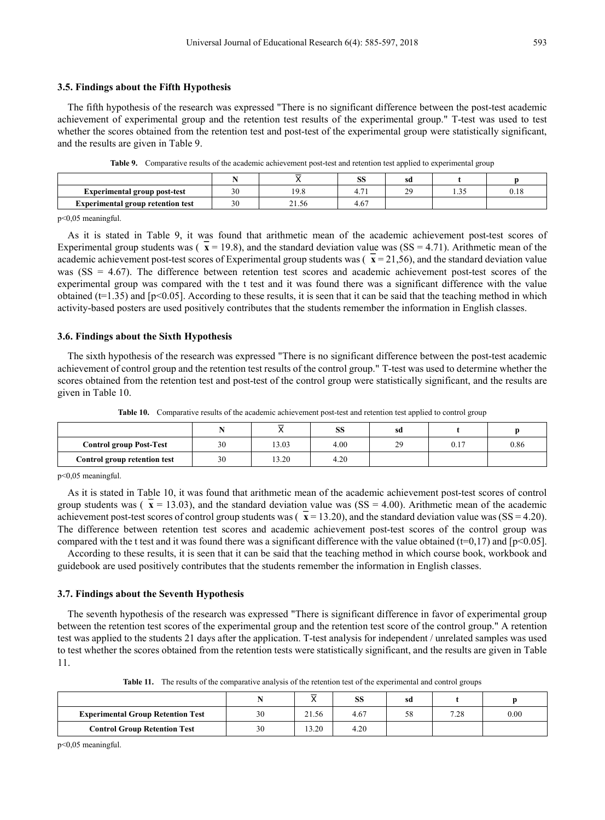The fifth hypothesis of the research was expressed "There is no significant difference between the post-test academic achievement of experimental group and the retention test results of the experimental group." T-test was used to test whether the scores obtained from the retention test and post-test of the experimental group were statistically significant, and the results are given in Table 9.

|                                          |        |       | пc<br>טפו      | sd                                                  |     |  |
|------------------------------------------|--------|-------|----------------|-----------------------------------------------------|-----|--|
| Experimental group post-test             | $\sim$ | 1 Q   | $\overline{ }$ | $\Delta$ <sup><math>\alpha</math></sup><br><u>.</u> | ں ر |  |
| <b>Experimental group retention test</b> | $\sim$ | 21.56 | 4.67           |                                                     |     |  |

**Table 9.** Comparative results of the academic achievement post-test and retention test applied to experimental group

p<0,05 meaningful.

As it is stated in Table 9, it was found that arithmetic mean of the academic achievement post-test scores of Experimental group students was  $\left(\overline{x} = 19.8\right)$ , and the standard deviation value was  $\left(SS = 4.71\right)$ . Arithmetic mean of the academic achievement post-test scores of Experimental group students was  $\left(\overline{x} = 21,56\right)$ , and the standard deviation value was (SS = 4.67). The difference between retention test scores and academic achievement post-test scores of the experimental group was compared with the t test and it was found there was a significant difference with the value obtained ( $t=1.35$ ) and [ $p<0.05$ ]. According to these results, it is seen that it can be said that the teaching method in which activity-based posters are used positively contributes that the students remember the information in English classes.

#### **3.6. Findings about the Sixth Hypothesis**

The sixth hypothesis of the research was expressed "There is no significant difference between the post-test academic achievement of control group and the retention test results of the control group." T-test was used to determine whether the scores obtained from the retention test and post-test of the control group were statistically significant, and the results are given in Table 10.

|                                |    | ᆕ<br>" | oο<br>55 | sd        |             |      |
|--------------------------------|----|--------|----------|-----------|-------------|------|
| <b>Control group Post-Test</b> | 30 | 13.03  | 4.00     | 29<br>زمك | ሰ 17<br>U.I | 0.86 |
| Control group retention test   | 30 | 13.20  | 4.20     |           |             |      |

p<0,05 meaningful.

As it is stated in Table 10, it was found that arithmetic mean of the academic achievement post-test scores of control group students was  $(x = 13.03)$ , and the standard deviation value was  $(SS = 4.00)$ . Arithmetic mean of the academic achievement post-test scores of control group students was  $(\bar{x} = 13.20)$ , and the standard deviation value was  $(SS = 4.20)$ . The difference between retention test scores and academic achievement post-test scores of the control group was compared with the t test and it was found there was a significant difference with the value obtained  $(t=0.17)$  and  $[p<0.05]$ .

According to these results, it is seen that it can be said that the teaching method in which course book, workbook and guidebook are used positively contributes that the students remember the information in English classes.

#### **3.7. Findings about the Seventh Hypothesis**

The seventh hypothesis of the research was expressed "There is significant difference in favor of experimental group between the retention test scores of the experimental group and the retention test score of the control group." A retention test was applied to the students 21 days after the application. T-test analysis for independent / unrelated samples was used to test whether the scores obtained from the retention tests were statistically significant, and the results are given in Table 11.

|  |  |  |  | <b>Table 11.</b> The results of the comparative analysis of the retention test of the experimental and control groups |  |
|--|--|--|--|-----------------------------------------------------------------------------------------------------------------------|--|
|--|--|--|--|-----------------------------------------------------------------------------------------------------------------------|--|

|                                          |    |       | SS   | sd |               |      |
|------------------------------------------|----|-------|------|----|---------------|------|
| <b>Experimental Group Retention Test</b> | 30 | 21.56 | 4.67 | 58 | 7.00<br>. Z C | 0.00 |
| <b>Control Group Retention Test</b>      |    | 13.20 | 4.20 |    |               |      |

p<0,05 meaningful.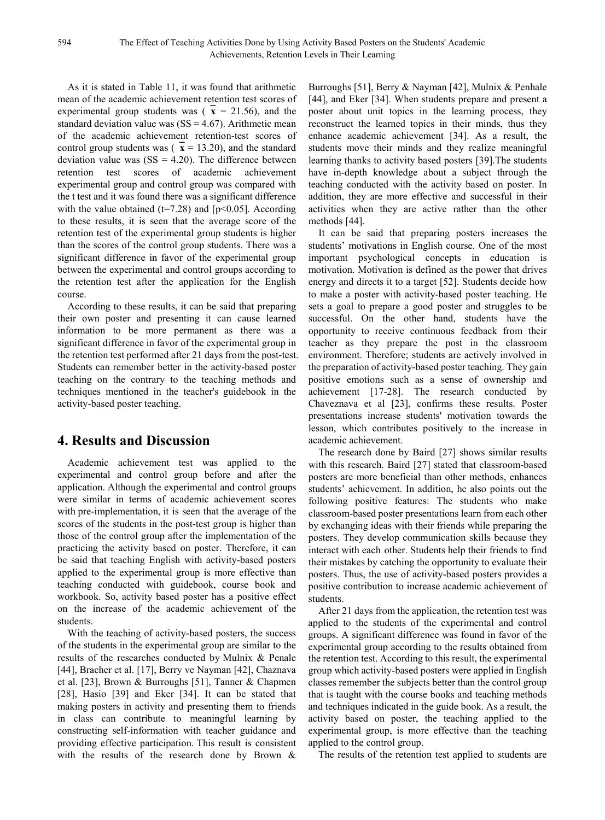As it is stated in Table 11, it was found that arithmetic mean of the academic achievement retention test scores of experimental group students was  $(x = 21.56)$ , and the standard deviation value was  $(SS = 4.67)$ . Arithmetic mean of the academic achievement retention-test scores of control group students was  $(x = 13.20)$ , and the standard deviation value was  $(SS = 4.20)$ . The difference between retention test scores of academic achievement experimental group and control group was compared with the t test and it was found there was a significant difference with the value obtained ( $t=7.28$ ) and [ $p<0.05$ ]. According to these results, it is seen that the average score of the retention test of the experimental group students is higher than the scores of the control group students. There was a significant difference in favor of the experimental group between the experimental and control groups according to the retention test after the application for the English course.

According to these results, it can be said that preparing their own poster and presenting it can cause learned information to be more permanent as there was a significant difference in favor of the experimental group in the retention test performed after 21 days from the post-test. Students can remember better in the activity-based poster teaching on the contrary to the teaching methods and techniques mentioned in the teacher's guidebook in the activity-based poster teaching.

# **4. Results and Discussion**

Academic achievement test was applied to the experimental and control group before and after the application. Although the experimental and control groups were similar in terms of academic achievement scores with pre-implementation, it is seen that the average of the scores of the students in the post-test group is higher than those of the control group after the implementation of the practicing the activity based on poster. Therefore, it can be said that teaching English with activity-based posters applied to the experimental group is more effective than teaching conducted with guidebook, course book and workbook. So, activity based poster has a positive effect on the increase of the academic achievement of the students.

With the teaching of activity-based posters, the success of the students in the experimental group are similar to the results of the researches conducted by Mulnix & Penale [44], Bracher et al. [17], Berry ve Nayman [42], Chaznava et al. [23], Brown & Burroughs [51], Tanner & Chapmen [28], Hasio [39] and Eker [34]. It can be stated that making posters in activity and presenting them to friends in class can contribute to meaningful learning by constructing self-information with teacher guidance and providing effective participation. This result is consistent with the results of the research done by Brown &

Burroughs [51], Berry & Nayman [42], Mulnix & Penhale [44], and Eker [34]. When students prepare and present a poster about unit topics in the learning process, they reconstruct the learned topics in their minds, thus they enhance academic achievement [34]. As a result, the students move their minds and they realize meaningful learning thanks to activity based posters [39].The students have in-depth knowledge about a subject through the teaching conducted with the activity based on poster. In addition, they are more effective and successful in their activities when they are active rather than the other methods [44].

It can be said that preparing posters increases the students' motivations in English course. One of the most important psychological concepts in education is motivation. Motivation is defined as the power that drives energy and directs it to a target [52]. Students decide how to make a poster with activity-based poster teaching. He sets a goal to prepare a good poster and struggles to be successful. On the other hand, students have the opportunity to receive continuous feedback from their teacher as they prepare the post in the classroom environment. Therefore; students are actively involved in the preparation of activity-based poster teaching. They gain positive emotions such as a sense of ownership and achievement [17-28]. The research conducted by Chaveznava et al [23], confirms these results. Poster presentations increase students' motivation towards the lesson, which contributes positively to the increase in academic achievement.

The research done by Baird [27] shows similar results with this research. Baird [27] stated that classroom-based posters are more beneficial than other methods, enhances students' achievement. In addition, he also points out the following positive features: The students who make classroom-based poster presentations learn from each other by exchanging ideas with their friends while preparing the posters. They develop communication skills because they interact with each other. Students help their friends to find their mistakes by catching the opportunity to evaluate their posters. Thus, the use of activity-based posters provides a positive contribution to increase academic achievement of students.

After 21 days from the application, the retention test was applied to the students of the experimental and control groups. A significant difference was found in favor of the experimental group according to the results obtained from the retention test. According to this result, the experimental group which activity-based posters were applied in English classes remember the subjects better than the control group that is taught with the course books and teaching methods and techniques indicated in the guide book. As a result, the activity based on poster, the teaching applied to the experimental group, is more effective than the teaching applied to the control group.

The results of the retention test applied to students are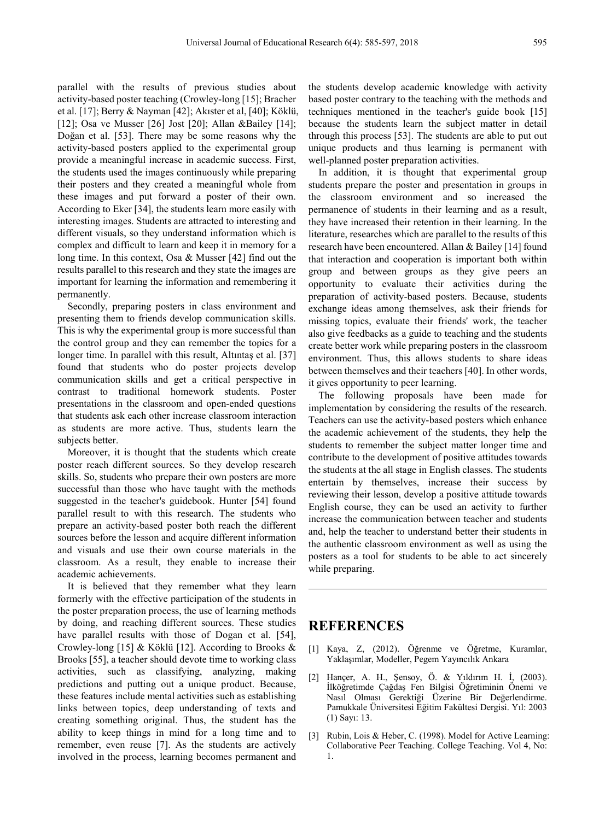parallel with the results of previous studies about activity-based poster teaching (Crowley-long [15]; Bracher et al. [17]; Berry & Nayman [42]; Akıster et al, [40]; Köklü, [12]; Osa ve Musser [26] Jost [20]; Allan &Bailey [14]; Doğan et al. [53]. There may be some reasons why the activity-based posters applied to the experimental group provide a meaningful increase in academic success. First, the students used the images continuously while preparing their posters and they created a meaningful whole from these images and put forward a poster of their own. According to Eker [34], the students learn more easily with interesting images. Students are attracted to interesting and different visuals, so they understand information which is complex and difficult to learn and keep it in memory for a long time. In this context, Osa & Musser [42] find out the results parallel to this research and they state the images are important for learning the information and remembering it permanently.

Secondly, preparing posters in class environment and presenting them to friends develop communication skills. This is why the experimental group is more successful than the control group and they can remember the topics for a longer time. In parallel with this result, Altıntas et al. [37] found that students who do poster projects develop communication skills and get a critical perspective in contrast to traditional homework students. Poster presentations in the classroom and open-ended questions that students ask each other increase classroom interaction as students are more active. Thus, students learn the subjects better.

Moreover, it is thought that the students which create poster reach different sources. So they develop research skills. So, students who prepare their own posters are more successful than those who have taught with the methods suggested in the teacher's guidebook. Hunter [54] found parallel result to with this research. The students who prepare an activity-based poster both reach the different sources before the lesson and acquire different information and visuals and use their own course materials in the classroom. As a result, they enable to increase their academic achievements.

It is believed that they remember what they learn formerly with the effective participation of the students in the poster preparation process, the use of learning methods by doing, and reaching different sources. These studies have parallel results with those of Dogan et al. [54], Crowley-long [15] & Köklü [12]. According to Brooks & Brooks [55], a teacher should devote time to working class activities, such as classifying, analyzing, making predictions and putting out a unique product. Because, these features include mental activities such as establishing links between topics, deep understanding of texts and creating something original. Thus, the student has the ability to keep things in mind for a long time and to remember, even reuse [7]. As the students are actively involved in the process, learning becomes permanent and

the students develop academic knowledge with activity based poster contrary to the teaching with the methods and techniques mentioned in the teacher's guide book [15] because the students learn the subject matter in detail through this process [53]. The students are able to put out unique products and thus learning is permanent with well-planned poster preparation activities.

In addition, it is thought that experimental group students prepare the poster and presentation in groups in the classroom environment and so increased the permanence of students in their learning and as a result, they have increased their retention in their learning. In the literature, researches which are parallel to the results of this research have been encountered. Allan & Bailey [14] found that interaction and cooperation is important both within group and between groups as they give peers an opportunity to evaluate their activities during the preparation of activity-based posters. Because, students exchange ideas among themselves, ask their friends for missing topics, evaluate their friends' work, the teacher also give feedbacks as a guide to teaching and the students create better work while preparing posters in the classroom environment. Thus, this allows students to share ideas between themselves and their teachers [40]. In other words, it gives opportunity to peer learning.

The following proposals have been made for implementation by considering the results of the research. Teachers can use the activity-based posters which enhance the academic achievement of the students, they help the students to remember the subject matter longer time and contribute to the development of positive attitudes towards the students at the all stage in English classes. The students entertain by themselves, increase their success by reviewing their lesson, develop a positive attitude towards English course, they can be used an activity to further increase the communication between teacher and students and, help the teacher to understand better their students in the authentic classroom environment as well as using the posters as a tool for students to be able to act sincerely while preparing.

## **REFERENCES**

- [1] Kaya, Z, (2012). Öğrenme ve Öğretme, Kuramlar, Yaklaşımlar, Modeller, Pegem Yayıncılık Ankara
- [2] Hançer, A. H., Şensoy, Ö. & Yıldırım H. İ, (2003). İlköğretimde Çağdaş Fen Bilgisi Öğretiminin Önemi ve Nasıl Olması Gerektiği Üzerine Bir Değerlendirme. Pamukkale Üniversitesi Eğitim Fakültesi Dergisi. Yıl: 2003 (1) Sayı: 13.
- [3] Rubin, Lois & Heber, C. (1998). Model for Active Learning: Collaborative Peer Teaching. College Teaching. Vol 4, No: 1.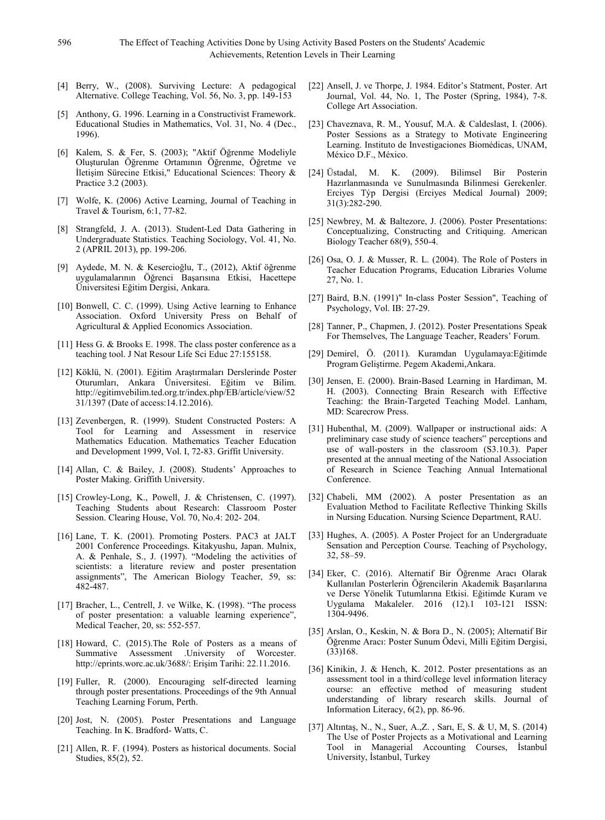- [4] Berry, W., (2008). Surviving Lecture: A pedagogical Alternative. College Teaching, Vol. 56, No. 3, pp. 149-153
- [5] Anthony, G. 1996. Learning in a Constructivist Framework. Educational Studies in Mathematics, Vol. 31, No. 4 (Dec., 1996).
- [6] Kalem, S. & Fer, S. (2003); "Aktif Öğrenme Modeliyle Oluşturulan Öğrenme Ortamının Öğrenme, Öğretme ve İletişim Sürecine Etkisi," Educational Sciences: Theory & Practice 3.2 (2003).
- [7] Wolfe, K. (2006) Active Learning, Journal of Teaching in Travel & Tourism, 6:1, 77-82.
- [8] Strangfeld, J. A. (2013). Student-Led Data Gathering in Undergraduate Statistics. Teaching Sociology, Vol. 41, No. 2 (APRIL 2013), pp. 199-206.
- [9] Aydede, M. N. & Kesercioğlu, T., (2012), Aktif öğrenme uygulamalarının Öğrenci Başarısına Etkisi, Hacettepe Üniversitesi Eğitim Dergisi, Ankara.
- [10] Bonwell, C. C. (1999). Using Active learning to Enhance Association. Oxford University Press on Behalf of Agricultural & Applied Economics Association.
- [11] Hess G. & Brooks E. 1998. The class poster conference as a teaching tool. J Nat Resour Life Sci Educ 27:155158.
- [12] Köklü, N. (2001). Eğitim Araştırmaları Derslerinde Poster Oturumları, Ankara Üniversitesi. Eğitim ve Bilim. http://egitimvebilim.ted.org.tr/index.php/EB/article/view/52 31/1397 (Date of access:14.12.2016).
- [13] Zevenbergen, R. (1999). Student Constructed Posters: A Tool for Learning and Assessment in reservice Mathematics Education. Mathematics Teacher Education and Development 1999, Vol. I, 72-83. Griffit University.
- [14] Allan, C. & Bailey, J. (2008). Students' Approaches to Poster Making. Griffith University.
- [15] Crowley-Long, K., Powell, J. & Christensen, C. (1997). Teaching Students about Research: Classroom Poster Session. Clearing House, Vol. 70, No.4: 202- 204.
- [16] Lane, T. K. (2001). Promoting Posters. PAC3 at JALT 2001 Conference Proceedings. Kitakyushu, Japan. Mulnix, A. & Penhale, S., J. (1997). "Modeling the activities of scientists: a literature review and poster presentation assignments", The American Biology Teacher, 59, ss: 482-487.
- [17] Bracher, L., Centrell, J. ve Wilke, K. (1998). "The process of poster presentation: a valuable learning experience", Medical Teacher, 20, ss: 552-557.
- [18] Howard, C. (2015).The Role of Posters as a means of Summative Assessment .University of Worcester. http://eprints.worc.ac.uk/3688/: Erişim Tarihi: 22.11.2016.
- [19] Fuller, R. (2000). Encouraging self-directed learning through poster presentations. Proceedings of the 9th Annual Teaching Learning Forum, Perth.
- [20] Jost, N. (2005). Poster Presentations and Language Teaching. In K. Bradford- Watts, C.
- [21] Allen, R. F. (1994). Posters as historical documents. Social Studies, 85(2), 52.
- [22] Ansell, J. ve Thorpe, J. 1984. Editor's Statment, Poster. Art Journal, Vol. 44, No. 1, The Poster (Spring, 1984), 7-8. College Art Association.
- [23] Chaveznava, R. M., Yousuf, M.A. & Caldeslast, I. (2006). Poster Sessions as a Strategy to Motivate Engineering Learning. Instituto de Investigaciones Biomédicas, UNAM, México D.F., México.
- [24] Üstadal, M. K. (2009). Bilimsel Bir Posterin Hazırlanmasında ve Sunulmasında Bilinmesi Gerekenler. Erciyes Týp Dergisi (Erciyes Medical Journal) 2009; 31(3):282-290.
- [25] Newbrey, M. & Baltezore, J. (2006). Poster Presentations: Conceptualizing, Constructing and Critiquing. American Biology Teacher 68(9), 550-4.
- [26] Osa, O. J. & Musser, R. L. (2004). The Role of Posters in Teacher Education Programs, Education Libraries Volume 27, No. 1.
- [27] Baird, B.N. (1991)" In-class Poster Session", Teaching of Psychology, Vol. IB: 27-29.
- [28] Tanner, P., Chapmen, J. (2012). Poster Presentations Speak For Themselves, The Language Teacher, Readers' Forum.
- [29] Demirel, Ö. (2011). Kuramdan Uygulamaya:Eğitimde Program Geliştirme. Pegem Akademi,Ankara.
- [30] Jensen, E. (2000). Brain-Based Learning in Hardiman, M. H. (2003). Connecting Brain Research with Effective Teaching: the Brain-Targeted Teaching Model. Lanham, MD: Scarecrow Press.
- [31] Hubenthal, M. (2009). Wallpaper or instructional aids: A preliminary case study of science teachers" perceptions and use of wall-posters in the classroom (S3.10.3). Paper presented at the annual meeting of the National Association of Research in Science Teaching Annual International Conference.
- [32] Chabeli, MM (2002). A poster Presentation as an Evaluation Method to Facilitate Reflective Thinking Skills in Nursing Education. Nursing Science Department, RAU.
- [33] Hughes, A. (2005). A Poster Project for an Undergraduate Sensation and Perception Course. Teaching of Psychology, 32, 58–59.
- [34] Eker, C. (2016). Alternatif Bir Öğrenme Aracı Olarak Kullanılan Posterlerin Öğrencilerin Akademik Başarılarına ve Derse Yönelik Tutumlarına Etkisi. Eğitimde Kuram ve Uygulama Makaleler. 2016 (12).1 103-121 ISSN: 1304-9496.
- [35] Arslan, O., Keskin, N. & Bora D., N. (2005); Alternatif Bir Öğrenme Aracı: Poster Sunum Ödevi, Milli Eğitim Dergisi, (33)168.
- [36] Kinikin, J. & Hench, K. 2012. Poster presentations as an assessment tool in a third/college level information literacy course: an effective method of measuring student understanding of library research skills. Journal of Information Literacy, 6(2), pp. 86-96.
- [37] Altıntaş, N., N., Suer, A.,Z. , Sarı, E, S. & U, M, S. (2014) The Use of Poster Projects as a Motivational and Learning Tool in Managerial Accounting Courses, İstanbul University, İstanbul, Turkey